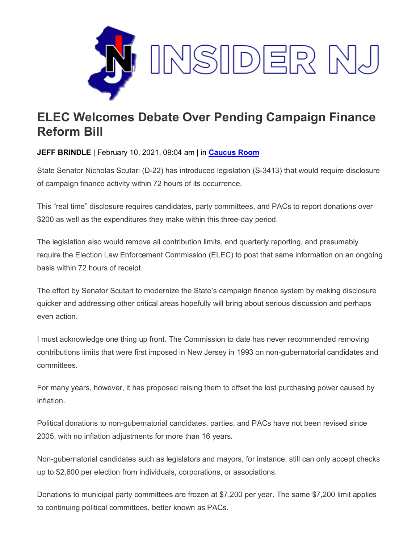

## **ELEC Welcomes Debate Over Pending Campaign Finance Reform Bill**

**JEFF BRINDLE** | February 10, 2021, 09:04 am | in **[Caucus Room](https://www.insidernj.com/category/caucus-room/)**

State Senator Nicholas Scutari (D-22) has introduced legislation (S-3413) that would require disclosure of campaign finance activity within 72 hours of its occurrence.

This "real time" disclosure requires candidates, party committees, and PACs to report donations over \$200 as well as the expenditures they make within this three-day period.

The legislation also would remove all contribution limits, end quarterly reporting, and presumably require the Election Law Enforcement Commission (ELEC) to post that same information on an ongoing basis within 72 hours of receipt.

The effort by Senator Scutari to modernize the State's campaign finance system by making disclosure quicker and addressing other critical areas hopefully will bring about serious discussion and perhaps even action.

I must acknowledge one thing up front. The Commission to date has never recommended removing contributions limits that were first imposed in New Jersey in 1993 on non-gubernatorial candidates and committees.

For many years, however, it has proposed raising them to offset the lost purchasing power caused by inflation.

Political donations to non-gubernatorial candidates, parties, and PACs have not been revised since 2005, with no inflation adjustments for more than 16 years.

Non-gubernatorial candidates such as legislators and mayors, for instance, still can only accept checks up to \$2,600 per election from individuals, corporations, or associations.

Donations to municipal party committees are frozen at \$7,200 per year. The same \$7,200 limit applies to continuing political committees, better known as PACs.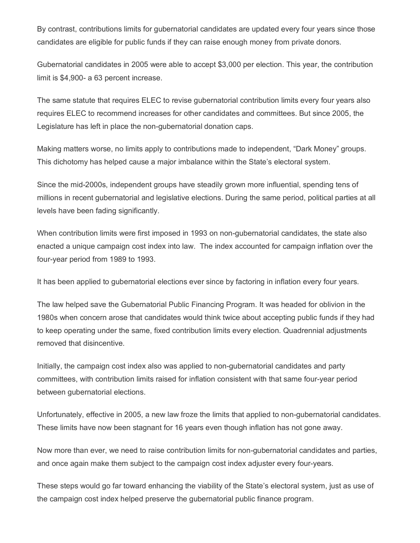By contrast, contributions limits for gubernatorial candidates are updated every four years since those candidates are eligible for public funds if they can raise enough money from private donors.

Gubernatorial candidates in 2005 were able to accept \$3,000 per election. This year, the contribution limit is \$4,900- a 63 percent increase.

The same statute that requires ELEC to revise gubernatorial contribution limits every four years also requires ELEC to recommend increases for other candidates and committees. But since 2005, the Legislature has left in place the non-gubernatorial donation caps.

Making matters worse, no limits apply to contributions made to independent, "Dark Money" groups. This dichotomy has helped cause a major imbalance within the State's electoral system.

Since the mid-2000s, independent groups have steadily grown more influential, spending tens of millions in recent gubernatorial and legislative elections. During the same period, political parties at all levels have been fading significantly.

When contribution limits were first imposed in 1993 on non-gubernatorial candidates, the state also enacted a unique campaign cost index into law. The index accounted for campaign inflation over the four-year period from 1989 to 1993.

It has been applied to gubernatorial elections ever since by factoring in inflation every four years.

The law helped save the Gubernatorial Public Financing Program. It was headed for oblivion in the 1980s when concern arose that candidates would think twice about accepting public funds if they had to keep operating under the same, fixed contribution limits every election. Quadrennial adjustments removed that disincentive.

Initially, the campaign cost index also was applied to non-gubernatorial candidates and party committees, with contribution limits raised for inflation consistent with that same four-year period between gubernatorial elections.

Unfortunately, effective in 2005, a new law froze the limits that applied to non-gubernatorial candidates. These limits have now been stagnant for 16 years even though inflation has not gone away.

Now more than ever, we need to raise contribution limits for non-gubernatorial candidates and parties, and once again make them subject to the campaign cost index adjuster every four-years.

These steps would go far toward enhancing the viability of the State's electoral system, just as use of the campaign cost index helped preserve the gubernatorial public finance program.